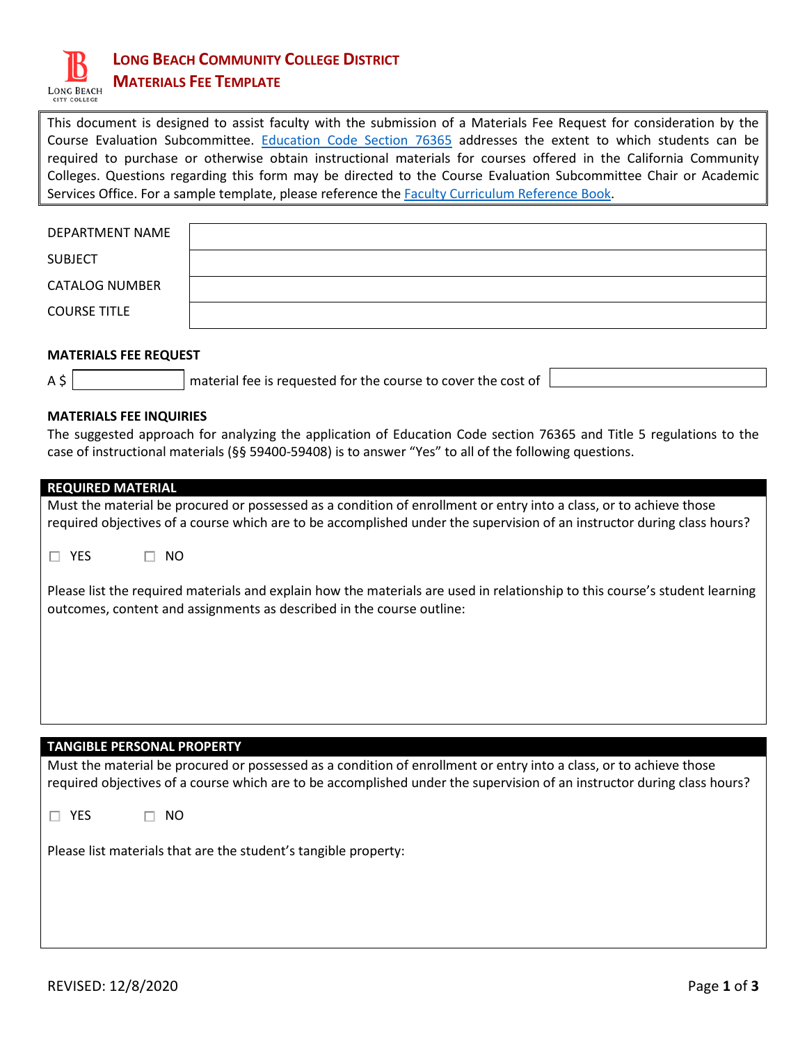

# **LONG BEACH COMMUNITY COLLEGE DISTRICT MATERIALS FEE TEMPLATE**

This document is designed to assist faculty with the submission of a Materials Fee Request for consideration by the Course Evaluation Subcommittee. [Education Code Section 76365](https://www.cccco.edu/-/media/CCCCO-Website/About-Us/Divisions/Educational-Services-and-Support/Academic-Affairs/What-we-do/Curriculum-and-Instruction-Unit/Files/InstructionalMaterialsGuidelines12813pdf.pdf) addresses the extent to which students can be required to purchase or otherwise obtain instructional materials for courses offered in the California Community Colleges. Questions regarding this form may be directed to the Course Evaluation Subcommittee Chair or Academic Services Office. For a sample template, please reference th[e Faculty Curriculum Reference Book.](http://archive.lbcc.edu/OAS/RefBook/)

| DEPARTMENT NAME       |  |
|-----------------------|--|
| <b>SUBJECT</b>        |  |
| <b>CATALOG NUMBER</b> |  |
| <b>COURSE TITLE</b>   |  |

# **MATERIALS FEE REQUEST**

 $A \uparrow$  material fee is requested for the course to cover the cost of

## **MATERIALS FEE INQUIRIES**

The suggested approach for analyzing the application of Education Code section 76365 and Title 5 regulations to the case of instructional materials (§§ 59400-59408) is to answer "Yes" to all of the following questions.

| <b>REQUIRED MATERIAL</b>                                                                                                                                                                                                                      |  |  |  |
|-----------------------------------------------------------------------------------------------------------------------------------------------------------------------------------------------------------------------------------------------|--|--|--|
| Must the material be procured or possessed as a condition of enrollment or entry into a class, or to achieve those                                                                                                                            |  |  |  |
| required objectives of a course which are to be accomplished under the supervision of an instructor during class hours?                                                                                                                       |  |  |  |
| <b>YES</b><br>NO.<br>ш                                                                                                                                                                                                                        |  |  |  |
| Please list the required materials and explain how the materials are used in relationship to this course's student learning<br>outcomes, content and assignments as described in the course outline:                                          |  |  |  |
|                                                                                                                                                                                                                                               |  |  |  |
|                                                                                                                                                                                                                                               |  |  |  |
|                                                                                                                                                                                                                                               |  |  |  |
|                                                                                                                                                                                                                                               |  |  |  |
|                                                                                                                                                                                                                                               |  |  |  |
| <b>TANGIBLE PERSONAL PROPERTY</b>                                                                                                                                                                                                             |  |  |  |
| Must the material be procured or possessed as a condition of enrollment or entry into a class, or to achieve those<br>required objectives of a course which are to be accomplished under the supervision of an instructor during class hours? |  |  |  |
| YES<br>NO.                                                                                                                                                                                                                                    |  |  |  |

Please list materials that are the student's tangible property: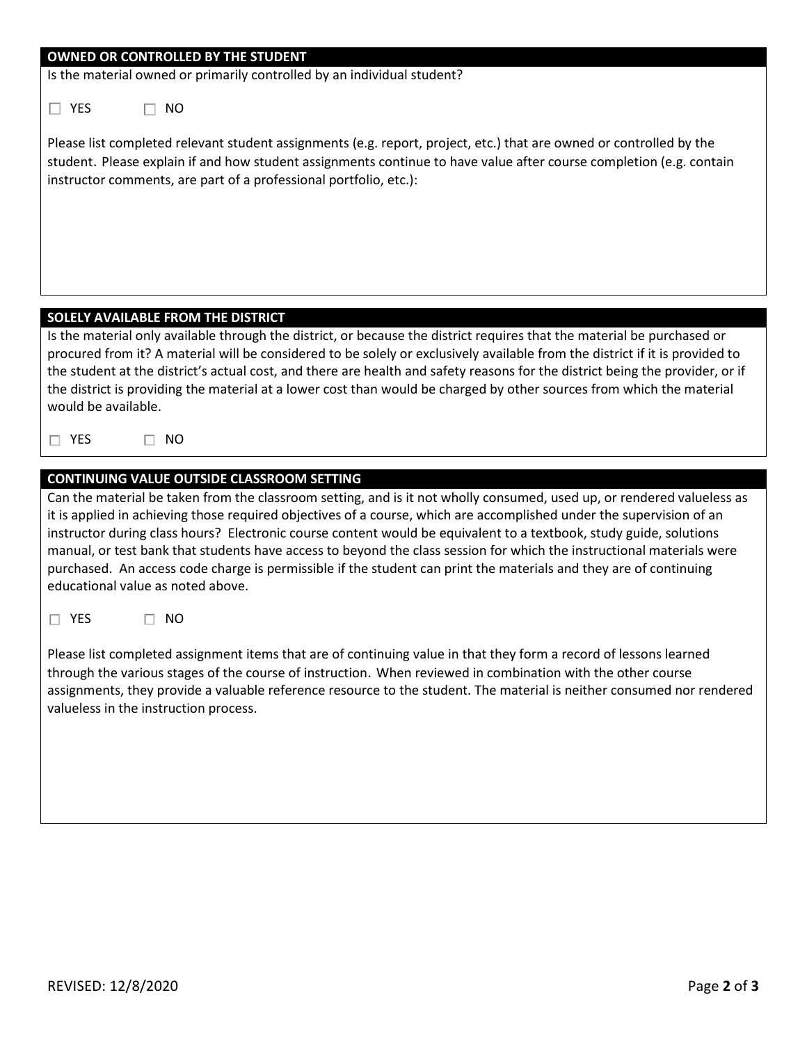#### **OWNED OR CONTROLLED BY THE STUDENT**

Is the material owned or primarily controlled by an individual student?

 $\Box$  YES  $\Box$  NO

Please list completed relevant student assignments (e.g. report, project, etc.) that are owned or controlled by the student. Please explain if and how student assignments continue to have value after course completion (e.g. contain instructor comments, are part of a professional portfolio, etc.):

## **SOLELY AVAILABLE FROM THE DISTRICT**

| Is the material only available through the district, or because the district requires that the material be purchased or       |
|-------------------------------------------------------------------------------------------------------------------------------|
| procured from it? A material will be considered to be solely or exclusively available from the district if it is provided to  |
| the student at the district's actual cost, and there are health and safety reasons for the district being the provider, or if |
| the district is providing the material at a lower cost than would be charged by other sources from which the material         |
| would be available.                                                                                                           |

 $\square$  YES  $\square$  NO

# **CONTINUING VALUE OUTSIDE CLASSROOM SETTING**

Can the material be taken from the classroom setting, and is it not wholly consumed, used up, or rendered valueless as it is applied in achieving those required objectives of a course, which are accomplished under the supervision of an instructor during class hours? Electronic course content would be equivalent to a textbook, study guide, solutions manual, or test bank that students have access to beyond the class session for which the instructional materials were purchased. An access code charge is permissible if the student can print the materials and they are of continuing educational value as noted above.

 $\Box$  YES  $\Box$  NO

Please list completed assignment items that are of continuing value in that they form a record of lessons learned through the various stages of the course of instruction. When reviewed in combination with the other course assignments, they provide a valuable reference resource to the student. The material is neither consumed nor rendered valueless in the instruction process.